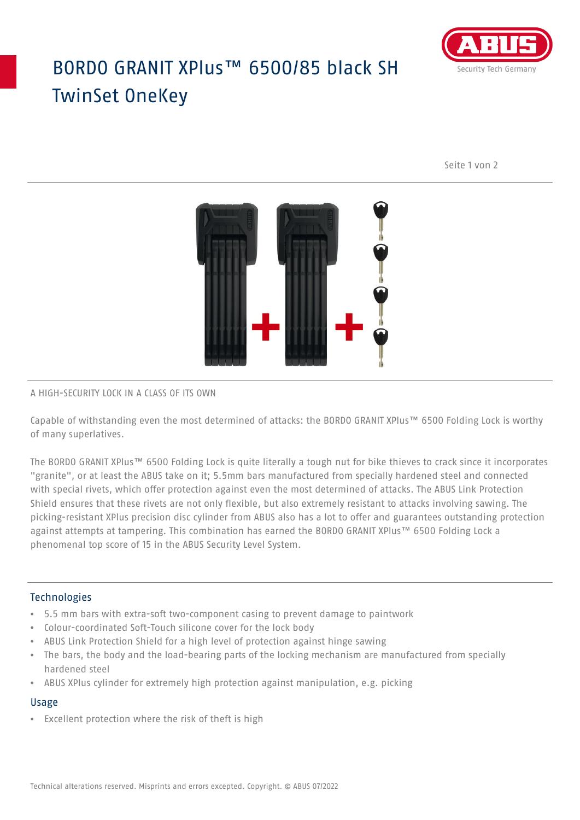# BORDO GRANIT XPlus™ 6500/85 black SH TwinSet OneKey



Seite 1 von 2



#### A HIGH-SECURITY LOCK IN A CLASS OF ITS OWN

Capable of withstanding even the most determined of attacks: the BORDO GRANIT XPlus™ 6500 Folding Lock is worthy of many superlatives.

The BORDO GRANIT XPlus™ 6500 Folding Lock is quite literally a tough nut for bike thieves to crack since it incorporates "granite", or at least the ABUS take on it; 5.5mm bars manufactured from specially hardened steel and connected with special rivets, which offer protection against even the most determined of attacks. The ABUS Link Protection Shield ensures that these rivets are not only flexible, but also extremely resistant to attacks involving sawing. The picking-resistant XPlus precision disc cylinder from ABUS also has a lot to offer and guarantees outstanding protection against attempts at tampering. This combination has earned the BORDO GRANIT XPlus™ 6500 Folding Lock a phenomenal top score of 15 in the ABUS Security Level System.

### Technologies

- 5.5 mm bars with extra-soft two-component casing to prevent damage to paintwork
- Colour-coordinated Soft-Touch silicone cover for the lock body
- ABUS Link Protection Shield for a high level of protection against hinge sawing
- The bars, the body and the load-bearing parts of the locking mechanism are manufactured from specially hardened steel
- ABUS XPlus cylinder for extremely high protection against manipulation, e.g. picking

#### Usage

• Excellent protection where the risk of theft is high